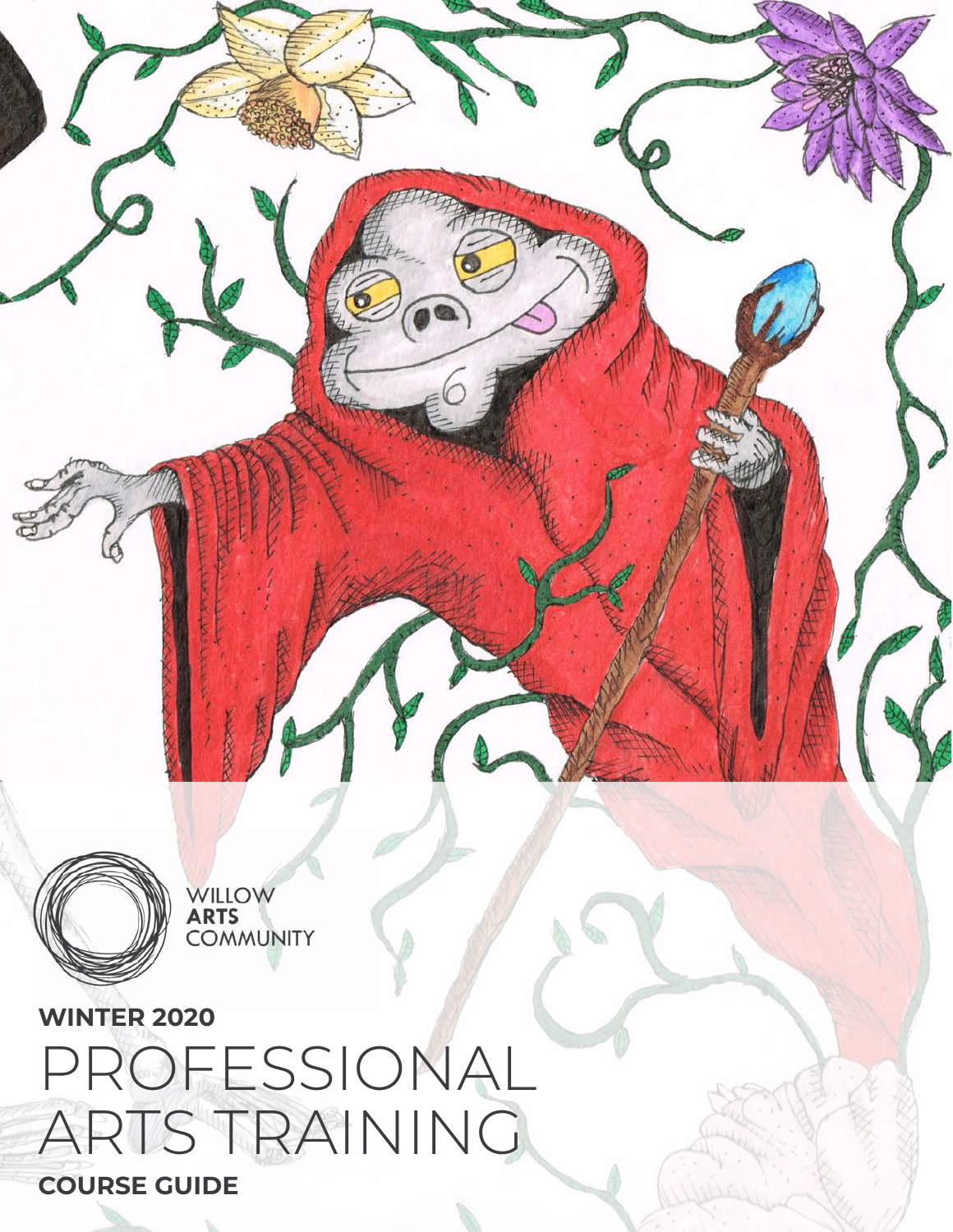**WINTER 2020** PROFESSIONAL ARTS TRAINING

WILLOW<br>**ARTS**<br>COMMUNITY

**COURSE GUIDE**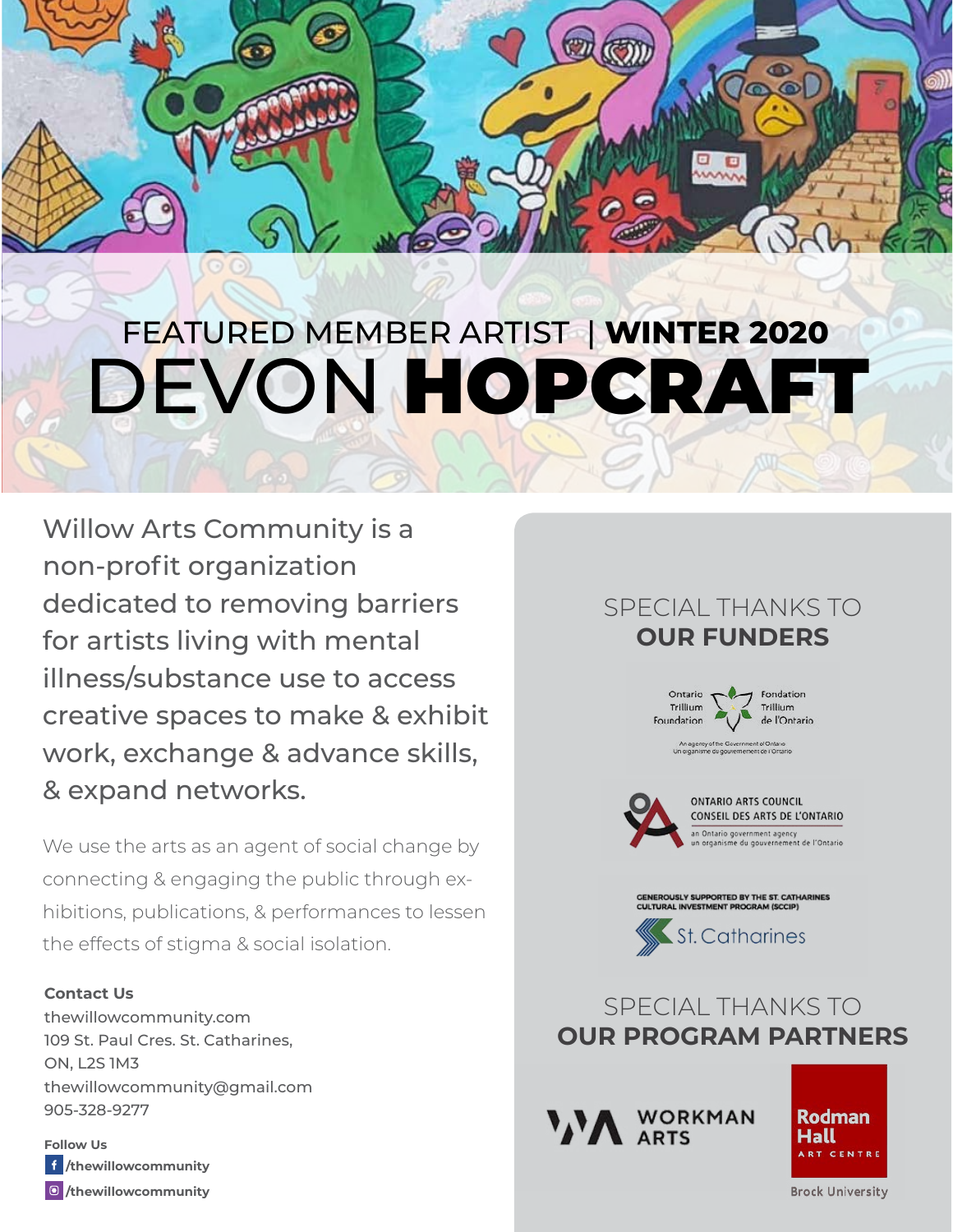# FEATURED MEMBER ARTIST | **WINTER 2020** DEVON HOPCRAFT

Willow Arts Community is a non-profit organization dedicated to removing barriers for artists living with mental illness/substance use to access creative spaces to make & exhibit work, exchange & advance skills, & expand networks.

We use the arts as an agent of social change by connecting & engaging the public through exhibitions, publications, & performances to lessen the effects of stigma & social isolation.

## **Contact Us**

thewillowcommunity.com 109 St. Paul Cres. St. Catharines, ON, L2S 1M3 thewillowcommunity@gmail.com 905-328-9277

**/thewillowcommunity /thewillowcommunity Follow Us**

## SPECIAL THANKS TO **OUR FUNDERS**









**WORKMAN ARTS** 

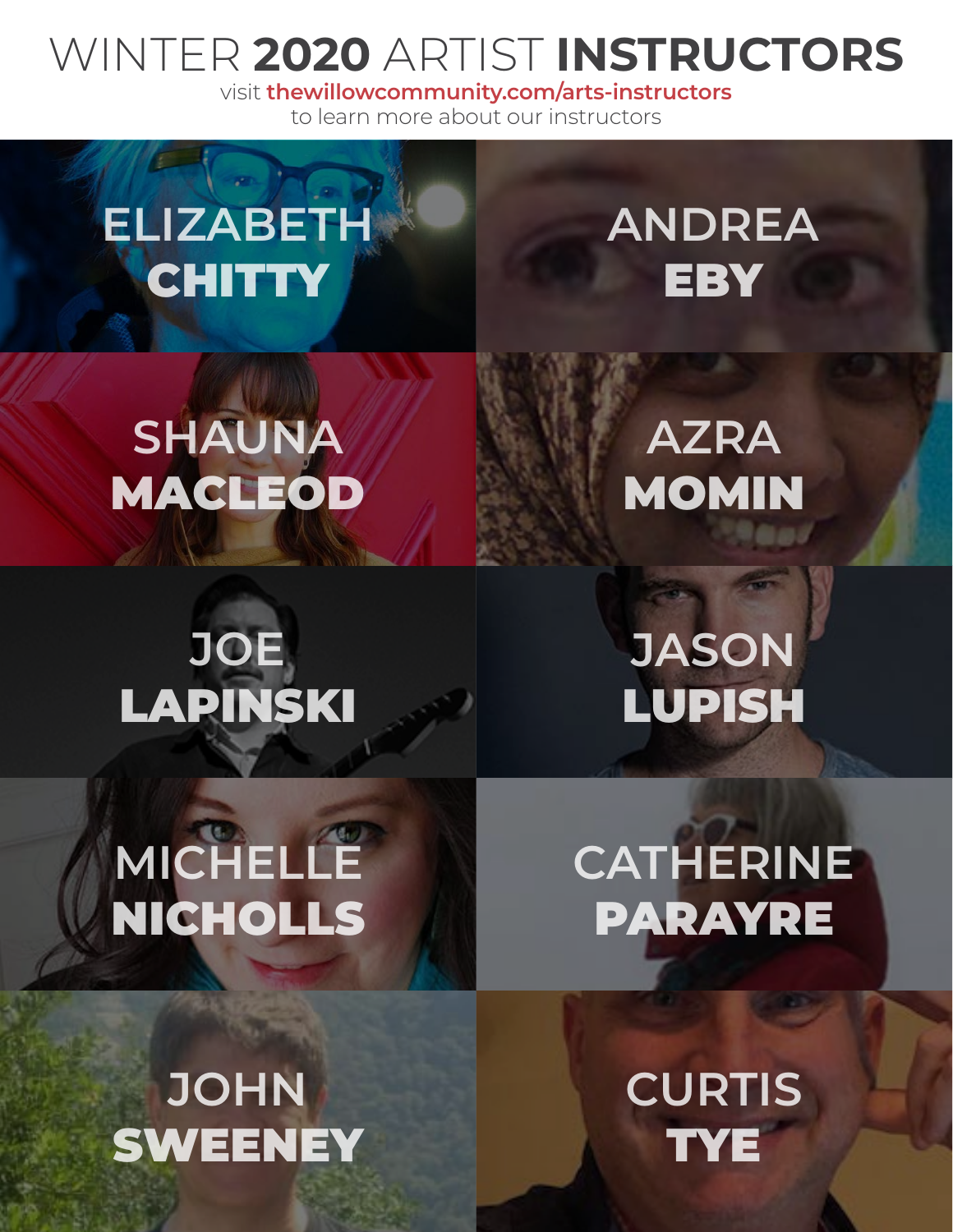## WINTER **2020** ARTIST **INSTRUCTORS**

visit **thewillowcommunity.com/arts-instructors** to learn more about our instructors

# **ELIZABETH CHITTY**

## **ANDREA EBY**

**SHAUNA** MACLEOD

## **JOE** LAPINSKI

## **AZRA** MOMIN

**JASON** LUPISH

# **MICHELLE** NICHOLLS

# **CATHERINE** PARAYRE

## **JOHN SWEENEY**

**CURTIS TYE**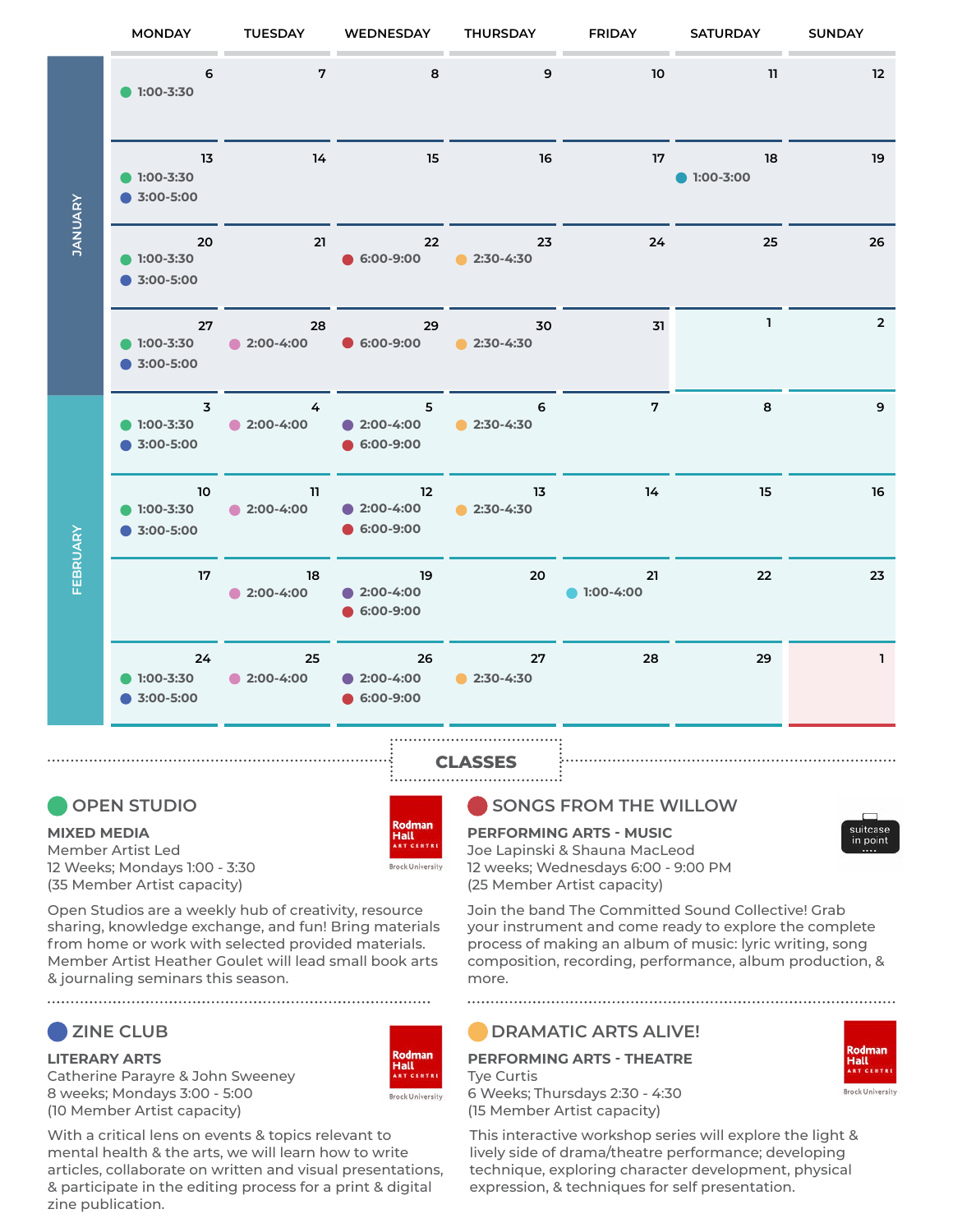

## **CLASSES**

Rodman

**Brock University** 

Rodman

**Brock University** 

Hall

Hall

## **OPEN STUDIO**

#### **MIXED MEDIA**

Member Artist Led 12 Weeks; Mondays 1:00 - 3:30 (35 Member Artist capacity)

Open Studios are a weekly hub of creativity, resource sharing, knowledge exchange, and fun! Bring materials from home or work with selected provided materials. Member Artist Heather Goulet will lead small book arts & journaling seminars this season.

## **ZINE CLUB**

**LITERARY ARTS** Catherine Parayre & John Sweeney 8 weeks; Mondays 3:00 - 5:00 (10 Member Artist capacity)



### **SONGS FROM THE WILLOW**

#### **PERFORMING ARTS - MUSIC**

Joe Lapinski & Shauna MacLeod 12 weeks; Wednesdays 6:00 - 9:00 PM (25 Member Artist capacity)

Join the band The Committed Sound Collective! Grab your instrument and come ready to explore the complete process of making an album of music: lyric writing, song composition, recording, performance, album production, & more.

## **DRAMATIC ARTS ALIVE!**

### **PERFORMING ARTS - THEATRE** Tye Curtis

6 Weeks; Thursdays 2:30 - 4:30 (15 Member Artist capacity)

This interactive workshop series will explore the light & lively side of drama/theatre performance; developing technique, exploring character development, physical expression, & techniques for self presentation.



Hall

ock University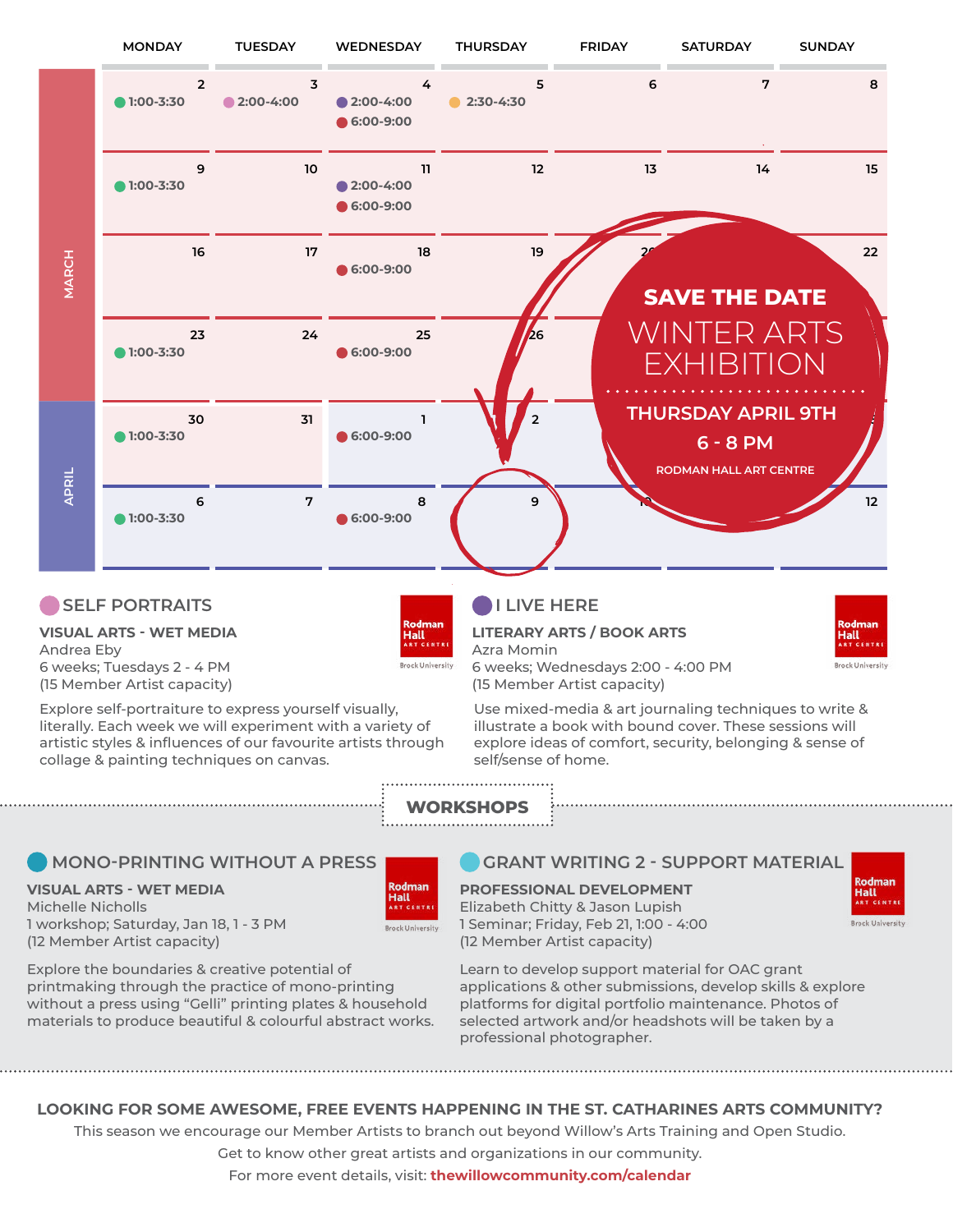

## **SELF PORTRAITS**

**VISUAL ARTS - WET MEDIA** Andrea Eby 6 weeks; Tuesdays 2 - 4 PM (15 Member Artist capacity)

Explore self-portraiture to express yourself visually, literally. Each week we will experiment with a variety of artistic styles & influences of our favourite artists through collage & painting techniques on canvas.

## **I LIVE HERE**

## **LITERARY ARTS / BOOK ARTS**

Azra Momin 6 weeks; Wednesdays 2:00 - 4:00 PM (15 Member Artist capacity)

Use mixed-media & art journaling techniques to write & illustrate a book with bound cover. These sessions will explore ideas of comfort, security, belonging & sense of self/sense of home.

**WORKSHOPS**

## **MONO-PRINTING WITHOUT A PRESS**

### **VISUAL ARTS - WET MEDIA**

Michelle Nicholls 1 workshop; Saturday, Jan 18, 1 - 3 PM (12 Member Artist capacity)

| Rodman                    |
|---------------------------|
| Hall<br><b>ART CENTRE</b> |
| <b>Brock University</b>   |

**Hall** 

**Brock University** 

Explore the boundaries & creative potential of printmaking through the practice of mono-printing without a press using "Gelli" printing plates & household materials to produce beautiful & colourful abstract works.

### **GRANT WRITING 2 - SUPPORT MATERIAL**

## **PROFESSIONAL DEVELOPMENT** Elizabeth Chitty & Jason Lupish

1 Seminar; Friday, Feb 21, 1:00 - 4:00 (12 Member Artist capacity)

Learn to develop support material for OAC grant applications & other submissions, develop skills & explore platforms for digital portfolio maintenance. Photos of selected artwork and/or headshots will be taken by a professional photographer.

## **LOOKING FOR SOME AWESOME, FREE EVENTS HAPPENING IN THE ST. CATHARINES ARTS COMMUNITY?**

This season we encourage our Member Artists to branch out beyond Willow's Arts Training and Open Studio.

Get to know other great artists and organizations in our community.

For more event details, visit: **thewillowcommunity.com/calendar**



Hall

ock University